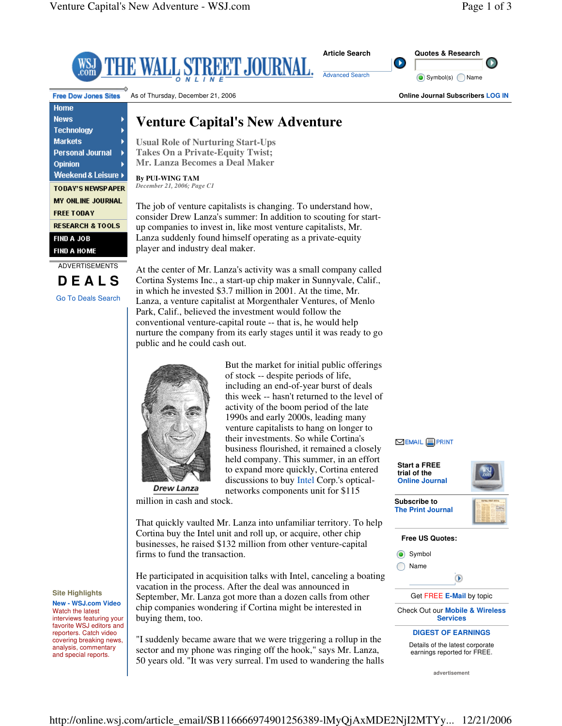

Drew Lanza

1990s and early 2000s, leading many venture capitalists to hang on longer to their investments. So while Cortina's business flourished, it remained a closely held company. This summer, in an effort to expand more quickly, Cortina entered discussions to buy Intel Corp.'s opticalnetworks components unit for \$115

million in cash and stock.

That quickly vaulted Mr. Lanza into unfamiliar territory. To help Cortina buy the Intel unit and roll up, or acquire, other chip businesses, he raised \$132 million from other venture-capital firms to fund the transaction.

He participated in acquisition talks with Intel, canceling a boating vacation in the process. After the deal was announced in September, Mr. Lanza got more than a dozen calls from other chip companies wondering if Cortina might be interested in buying them, too.

"I suddenly became aware that we were triggering a rollup in the sector and my phone was ringing off the hook," says Mr. Lanza, 50 years old. "It was very surreal. I'm used to wandering the halls ⊠EMAIL <mark>B</mark>PRINT

**Start a FREE trial of the Online Journal**



**Subscribe to The Print Journal**



**Free US Quotes:**



Check Out our **Mobile & Wireless Services**

# **DIGEST OF EARNINGS**

Details of the latest corporate earnings reported for FREE.

**advertisement**

**Site Highlights New - WSJ.com Video** Watch the latest interviews featuring your favorite WSJ editors and reporters. Catch video covering breaking news, analysis, commentary

and special reports.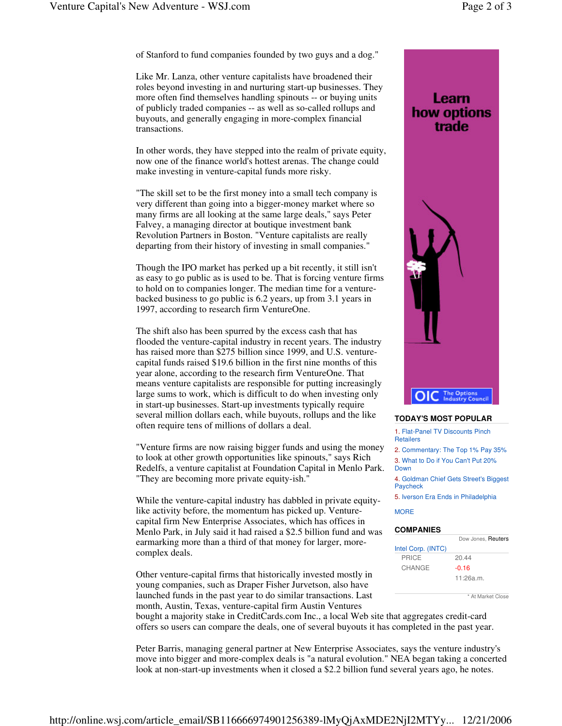of Stanford to fund companies founded by two guys and a dog."

Like Mr. Lanza, other venture capitalists have broadened their roles beyond investing in and nurturing start-up businesses. They more often find themselves handling spinouts -- or buying units of publicly traded companies -- as well as so-called rollups and buyouts, and generally engaging in more-complex financial transactions.

In other words, they have stepped into the realm of private equity, now one of the finance world's hottest arenas. The change could make investing in venture-capital funds more risky.

"The skill set to be the first money into a small tech company is very different than going into a bigger-money market where so many firms are all looking at the same large deals," says Peter Falvey, a managing director at boutique investment bank Revolution Partners in Boston. "Venture capitalists are really departing from their history of investing in small companies."

Though the IPO market has perked up a bit recently, it still isn't as easy to go public as is used to be. That is forcing venture firms to hold on to companies longer. The median time for a venturebacked business to go public is 6.2 years, up from 3.1 years in 1997, according to research firm VentureOne.

The shift also has been spurred by the excess cash that has flooded the venture-capital industry in recent years. The industry has raised more than \$275 billion since 1999, and U.S. venturecapital funds raised \$19.6 billion in the first nine months of this year alone, according to the research firm VentureOne. That means venture capitalists are responsible for putting increasingly large sums to work, which is difficult to do when investing only in start-up businesses. Start-up investments typically require several million dollars each, while buyouts, rollups and the like often require tens of millions of dollars a deal.

"Venture firms are now raising bigger funds and using the money to look at other growth opportunities like spinouts," says Rich Redelfs, a venture capitalist at Foundation Capital in Menlo Park. "They are becoming more private equity-ish."

While the venture-capital industry has dabbled in private equitylike activity before, the momentum has picked up. Venturecapital firm New Enterprise Associates, which has offices in Menlo Park, in July said it had raised a \$2.5 billion fund and was earmarking more than a third of that money for larger, morecomplex deals.

Other venture-capital firms that historically invested mostly in young companies, such as Draper Fisher Jurvetson, also have launched funds in the past year to do similar transactions. Last month, Austin, Texas, venture-capital firm Austin Ventures



## **TODAY'S MOST POPULAR**

1. Flat-Panel TV Discounts Pinch **Retailers** 

2. Commentary: The Top 1% Pay 35% 3. What to Do if You Can't Put 20% Down

4. Goldman Chief Gets Street's Biggest Paycheck

5. Iverson Era Ends in Philadelphia

#### **MORE**

### **COMPANIES**

|                    | Dow Jones, Reuters |
|--------------------|--------------------|
| Intel Corp. (INTC) |                    |
| PRICE              | 20.44              |
| CHANGE             | $-0.16$            |
|                    | 11:26a.m.          |
|                    |                    |

\* At Market Close

bought a majority stake in CreditCards.com Inc., a local Web site that aggregates credit-card offers so users can compare the deals, one of several buyouts it has completed in the past year.

Peter Barris, managing general partner at New Enterprise Associates, says the venture industry's move into bigger and more-complex deals is "a natural evolution." NEA began taking a concerted look at non-start-up investments when it closed a \$2.2 billion fund several years ago, he notes.